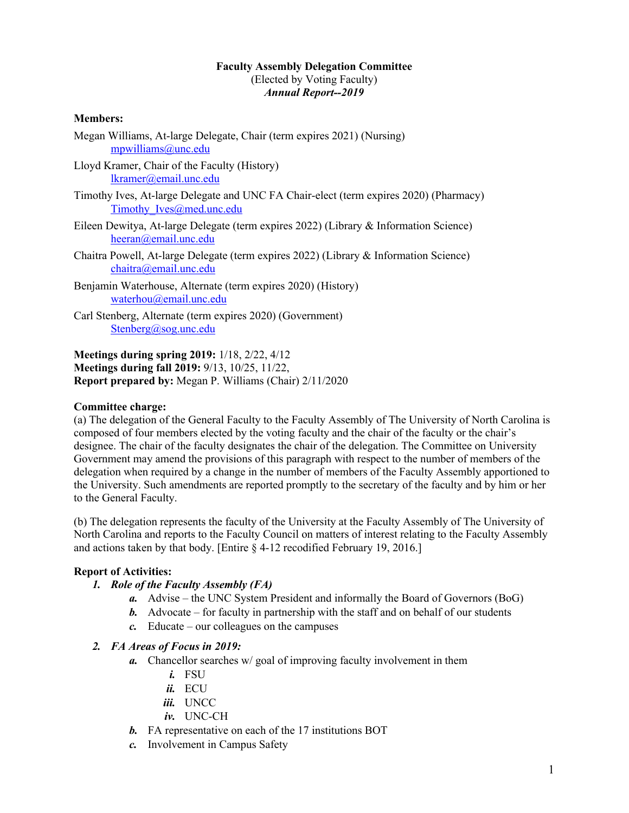### **Faculty Assembly Delegation Committee** (Elected by Voting Faculty) *Annual Report--2019*

### **Members:**

- Megan Williams, At-large Delegate, Chair (term expires 2021) (Nursing) mpwilliams@unc.edu
- Lloyd Kramer, Chair of the Faculty (History) lkramer@email.unc.edu
- Timothy Ives, At-large Delegate and UNC FA Chair-elect (term expires 2020) (Pharmacy) Timothy Ives@med.unc.edu
- Eileen Dewitya, At-large Delegate (term expires 2022) (Library & Information Science) heeran@email.unc.edu
- Chaitra Powell, At-large Delegate (term expires 2022) (Library & Information Science) chaitra@email.unc.edu
- Benjamin Waterhouse, Alternate (term expires 2020) (History) waterhou@email.unc.edu
- Carl Stenberg, Alternate (term expires 2020) (Government) Stenberg@sog.unc.edu

**Meetings during spring 2019:** 1/18, 2/22, 4/12 **Meetings during fall 2019:** 9/13, 10/25, 11/22, **Report prepared by:** Megan P. Williams (Chair) 2/11/2020

#### **Committee charge:**

(a) The delegation of the General Faculty to the Faculty Assembly of The University of North Carolina is composed of four members elected by the voting faculty and the chair of the faculty or the chair's designee. The chair of the faculty designates the chair of the delegation. The Committee on University Government may amend the provisions of this paragraph with respect to the number of members of the delegation when required by a change in the number of members of the Faculty Assembly apportioned to the University. Such amendments are reported promptly to the secretary of the faculty and by him or her to the General Faculty.

(b) The delegation represents the faculty of the University at the Faculty Assembly of The University of North Carolina and reports to the Faculty Council on matters of interest relating to the Faculty Assembly and actions taken by that body. [Entire § 4-12 recodified February 19, 2016.]

## **Report of Activities:**

- *1. Role of the Faculty Assembly (FA)*
	- *a.* Advise the UNC System President and informally the Board of Governors (BoG)
	- *b.* Advocate for faculty in partnership with the staff and on behalf of our students
	- *c.* Educate our colleagues on the campuses

#### *2. FA Areas of Focus in 2019:*

- *a.* Chancellor searches w/ goal of improving faculty involvement in them
	- *i.* FSU
	- *ii.* ECU
	- *iii.* UNCC
	- *iv.* UNC-CH
- *b.* FA representative on each of the 17 institutions BOT
- *c.* Involvement in Campus Safety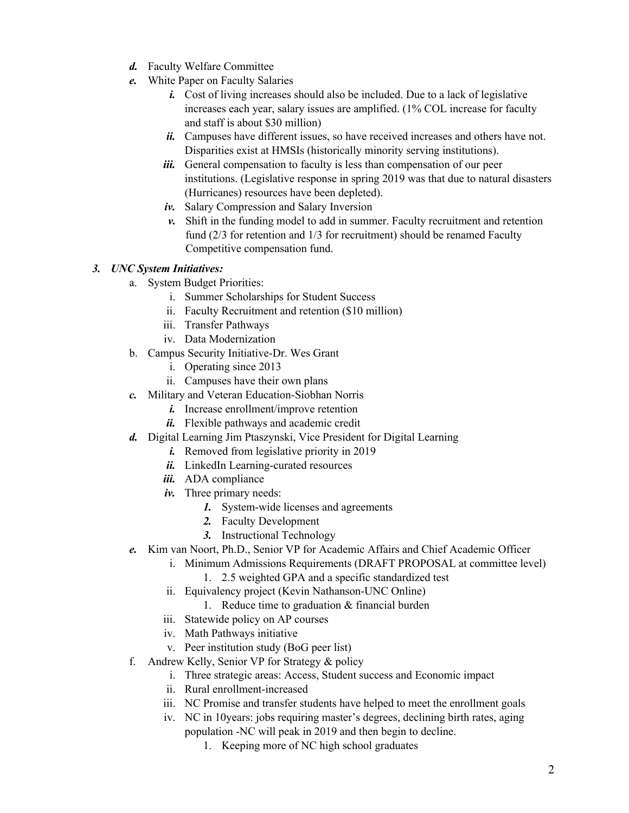- *d.* Faculty Welfare Committee
- *e.* White Paper on Faculty Salaries
	- *i.* Cost of living increases should also be included. Due to a lack of legislative increases each year, salary issues are amplified. (1% COL increase for faculty and staff is about \$30 million)
	- *ii.* Campuses have different issues, so have received increases and others have not. Disparities exist at HMSIs (historically minority serving institutions).
	- *iii.* General compensation to faculty is less than compensation of our peer institutions. (Legislative response in spring 2019 was that due to natural disasters (Hurricanes) resources have been depleted).
	- *iv.* Salary Compression and Salary Inversion
	- *v.* Shift in the funding model to add in summer. Faculty recruitment and retention fund (2/3 for retention and 1/3 for recruitment) should be renamed Faculty Competitive compensation fund.

# *3. UNC System Initiatives:*

- a. System Budget Priorities:
	- i. Summer Scholarships for Student Success
	- ii. Faculty Recruitment and retention (\$10 million)
	- iii. Transfer Pathways
	- iv. Data Modernization
- b. Campus Security Initiative-Dr. Wes Grant
	- i. Operating since 2013
	- ii. Campuses have their own plans
- *c.* Military and Veteran Education-Siobhan Norris
	- *i.* Increase enrollment/improve retention
	- *ii.* Flexible pathways and academic credit
- *d.* Digital Learning Jim Ptaszynski, Vice President for Digital Learning
	- *i.* Removed from legislative priority in 2019
	- *ii.* LinkedIn Learning-curated resources
	- *iii.* ADA compliance
	- *iv.* Three primary needs:
		- *1.* System-wide licenses and agreements
		- *2.* Faculty Development
		- *3.* Instructional Technology
- *e.* Kim van Noort, Ph.D., Senior VP for Academic Affairs and Chief Academic Officer
	- i. Minimum Admissions Requirements (DRAFT PROPOSAL at committee level)
		- 1. 2.5 weighted GPA and a specific standardized test
		- ii. Equivalency project (Kevin Nathanson-UNC Online)
			- 1. Reduce time to graduation & financial burden
		- iii. Statewide policy on AP courses
		- iv. Math Pathways initiative
		- v. Peer institution study (BoG peer list)
- f. Andrew Kelly, Senior VP for Strategy & policy
	- i. Three strategic areas: Access, Student success and Economic impact
	- ii. Rural enrollment-increased
	- iii. NC Promise and transfer students have helped to meet the enrollment goals
	- iv. NC in 10years: jobs requiring master's degrees, declining birth rates, aging population -NC will peak in 2019 and then begin to decline.
		- 1. Keeping more of NC high school graduates